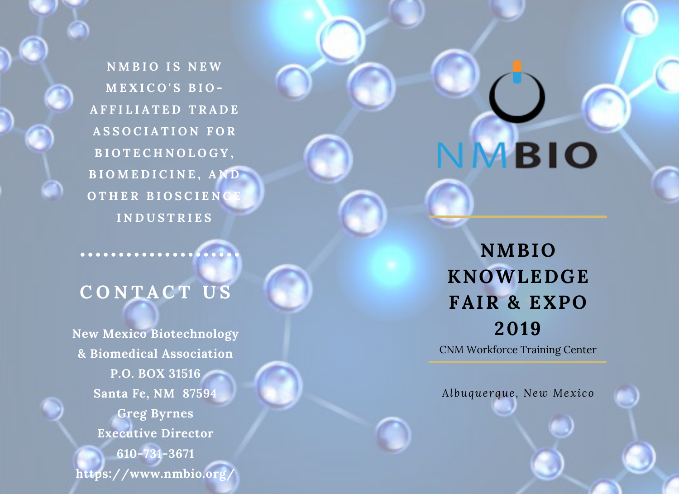**N M B I O I S N E W M E X I C O ' S B I O - A F F I L I A T E D T R A D E A S S O C I A T I O N F O R B I O T E C H N O L O G Y , B I O M E D I C I N E , A N D O T H E R B I O S C I E N C E I N D U S T R I E S**

# **C O N T A C T U S**

**New Mexico Biotechnology & Biomedical Association P.O. BOX 31516 Santa Fe, NM 87594 Greg Byrnes Executive Director 610-731-3671 https://www.nmbio.org/**

**NMBIO KNOWLEDGE FAIR & EXPO 2019**

**IMBIO** 

CNM Workforce Training Center

*Albuquerque, New Mexico*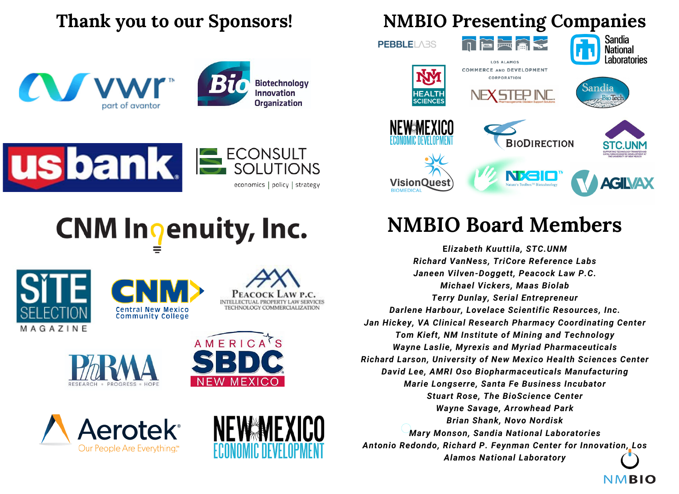





CNM Inqenuity, Inc.















# **Thank you to our Sponsors! NMBIO Presenting Companies**



# **NMBIO Board Members**

**E***lizabeth Kuuttila, STC.UNM Richard VanNess, TriCore Reference Labs Janeen Vilven-Doggett, Peacock Law P.C. Michael Vickers, Maas Biolab Terry Dunlay, Serial Entrepreneur Darlene Harbour, Lovelace Scientific Resources, Inc. Jan Hickey, VA Clinical Research Pharmacy Coordinating Center Tom Kieft, NM Institute of Mining and Technology Wayne Laslie, Myrexis and Myriad Pharmaceuticals Richard Larson, University of New Mexico Health Sciences Center David Lee, AMRI Oso Biopharmaceuticals Manufacturing Marie Longserre, Santa Fe Business Incubator Stuart Rose, The BioScience Center Wayne Savage, Arrowhead Park Brian Shank, Novo Nordisk Mary Monson, Sandia National Laboratories Antonio Redondo, Richard P. Feynman Center for Innovation, Los Alamos National Laboratory*

NMBIO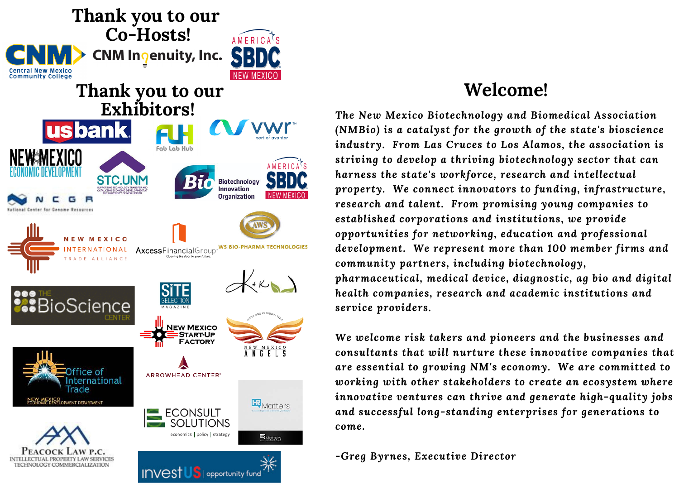

## **Welcome!**

*The New Mexico Biotechnology and Biomedical Association (NMBio) is a catalyst for the growth of the state's bioscience industry. From Las Cruces to Los Alamos, the association is striving to develop a thriving biotechnology sector that can harness the state's workforce, research and intellectual property. We connect innovators to funding, infrastructure, research and talent. From promising young companies to established corporations and institutions, we provide opportunities for networking, education and professional development. We represent more than 100 member firms and community partners, including biotechnology, pharmaceutical, medical device, diagnostic, ag bio and digital health companies, research and academic institutions and service providers.*

*We welcome risk takers and pioneers and the businesses and consultants that will nurture these innovative companies that are essential to growing NM's economy. We are committed to working with other stakeholders to create an ecosystem where innovative ventures can thrive and generate high-quality jobs and successful long-standing enterprises for generations to come.*

*-Greg Byrnes, Executive Director*